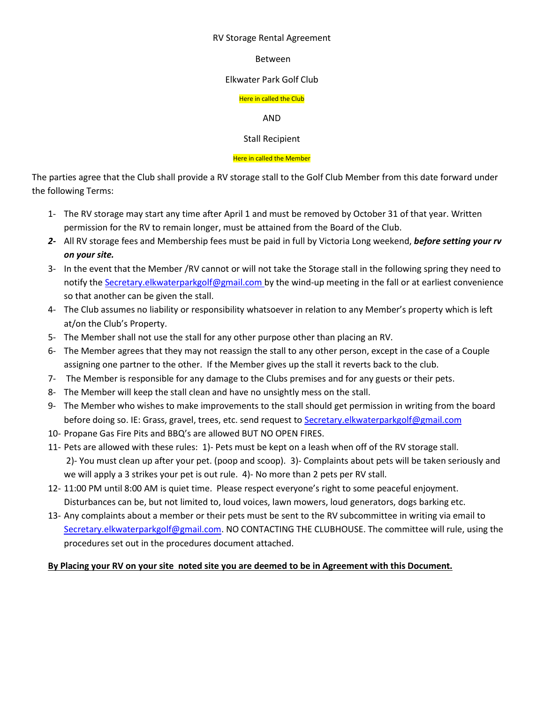#### RV Storage Rental Agreement

### Between

### Elkwater Park Golf Club

### Here in called the Club

### AND

### Stall Recipient

### Here in called the Member

The parties agree that the Club shall provide a RV storage stall to the Golf Club Member from this date forward under the following Terms:

- 1- The RV storage may start any time after April 1 and must be removed by October 31 of that year. Written permission for the RV to remain longer, must be attained from the Board of the Club.
- *2-* All RV storage fees and Membership fees must be paid in full by Victoria Long weekend, *before setting your rv on your site.*
- 3- In the event that the Member /RV cannot or will not take the Storage stall in the following spring they need to notify the [Secretary.elkwaterparkgolf@gmail.com](mailto:Secretary.elkwaterparkgolf@gmail.com) by the wind-up meeting in the fall or at earliest convenience so that another can be given the stall.
- 4- The Club assumes no liability or responsibility whatsoever in relation to any Member's property which is left at/on the Club's Property.
- 5- The Member shall not use the stall for any other purpose other than placing an RV.
- 6- The Member agrees that they may not reassign the stall to any other person, except in the case of a Couple assigning one partner to the other. If the Member gives up the stall it reverts back to the club.
- 7- The Member is responsible for any damage to the Clubs premises and for any guests or their pets.
- 8- The Member will keep the stall clean and have no unsightly mess on the stall.
- 9- The Member who wishes to make improvements to the stall should get permission in writing from the board before doing so. IE: Grass, gravel, trees, etc. send request t[o Secretary.elkwaterparkgolf@gmail.com](mailto:Secretary.elkwaterparkgolf@gmail.com)
- 10- Propane Gas Fire Pits and BBQ's are allowed BUT NO OPEN FIRES.
- 11- Pets are allowed with these rules: 1)- Pets must be kept on a leash when off of the RV storage stall. 2)- You must clean up after your pet. (poop and scoop). 3)- Complaints about pets will be taken seriously and we will apply a 3 strikes your pet is out rule. 4)- No more than 2 pets per RV stall.
- 12- 11:00 PM until 8:00 AM is quiet time. Please respect everyone's right to some peaceful enjoyment. Disturbances can be, but not limited to, loud voices, lawn mowers, loud generators, dogs barking etc.
- 13- Any complaints about a member or their pets must be sent to the RV subcommittee in writing via email to [Secretary.elkwaterparkgolf@gmail.com.](mailto:Secretary.elkwaterparkgolf@gmail.com) NO CONTACTING THE CLUBHOUSE. The committee will rule, using the procedures set out in the procedures document attached.

## **By Placing your RV on your site noted site you are deemed to be in Agreement with this Document.**